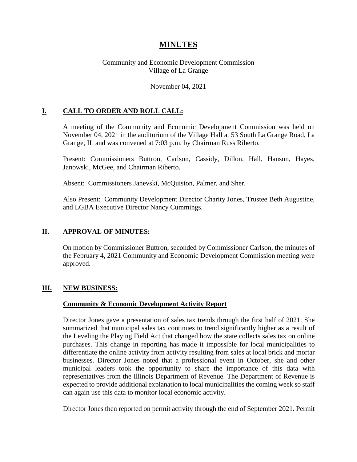# **MINUTES**

### Community and Economic Development Commission Village of La Grange

#### November 04, 2021

### **I. CALL TO ORDER AND ROLL CALL:**

A meeting of the Community and Economic Development Commission was held on November 04, 2021 in the auditorium of the Village Hall at 53 South La Grange Road, La Grange, IL and was convened at 7:03 p.m. by Chairman Russ Riberto.

Present: Commissioners Buttron, Carlson, Cassidy, Dillon, Hall, Hanson, Hayes, Janowski, McGee, and Chairman Riberto.

Absent: Commissioners Janevski, McQuiston, Palmer, and Sher.

Also Present: Community Development Director Charity Jones, Trustee Beth Augustine, and LGBA Executive Director Nancy Cummings.

#### **II. APPROVAL OF MINUTES:**

On motion by Commissioner Buttron, seconded by Commissioner Carlson, the minutes of the February 4, 2021 Community and Economic Development Commission meeting were approved.

#### **III. NEW BUSINESS:**

#### **Community & Economic Development Activity Report**

Director Jones gave a presentation of sales tax trends through the first half of 2021. She summarized that municipal sales tax continues to trend significantly higher as a result of the Leveling the Playing Field Act that changed how the state collects sales tax on online purchases. This change in reporting has made it impossible for local municipalities to differentiate the online activity from activity resulting from sales at local brick and mortar businesses. Director Jones noted that a professional event in October, she and other municipal leaders took the opportunity to share the importance of this data with representatives from the Illinois Department of Revenue. The Department of Revenue is expected to provide additional explanation to local municipalities the coming week so staff can again use this data to monitor local economic activity.

Director Jones then reported on permit activity through the end of September 2021. Permit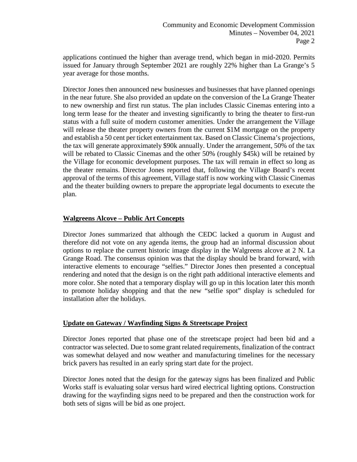applications continued the higher than average trend, which began in mid-2020. Permits issued for January through September 2021 are roughly 22% higher than La Grange's 5 year average for those months.

Director Jones then announced new businesses and businesses that have planned openings in the near future. She also provided an update on the conversion of the La Grange Theater to new ownership and first run status. The plan includes Classic Cinemas entering into a long term lease for the theater and investing significantly to bring the theater to first-run status with a full suite of modern customer amenities. Under the arrangement the Village will release the theater property owners from the current \$1M mortgage on the property and establish a 50 cent per ticket entertainment tax. Based on Classic Cinema's projections, the tax will generate approximately \$90k annually. Under the arrangement, 50% of the tax will be rebated to Classic Cinemas and the other 50% (roughly \$45k) will be retained by the Village for economic development purposes. The tax will remain in effect so long as the theater remains. Director Jones reported that, following the Village Board's recent approval of the terms of this agreement, Village staff is now working with Classic Cinemas and the theater building owners to prepare the appropriate legal documents to execute the plan.

### **Walgreens Alcove – Public Art Concepts**

Director Jones summarized that although the CEDC lacked a quorum in August and therefore did not vote on any agenda items, the group had an informal discussion about options to replace the current historic image display in the Walgreens alcove at 2 N. La Grange Road. The consensus opinion was that the display should be brand forward, with interactive elements to encourage "selfies." Director Jones then presented a conceptual rendering and noted that the design is on the right path additional interactive elements and more color. She noted that a temporary display will go up in this location later this month to promote holiday shopping and that the new "selfie spot" display is scheduled for installation after the holidays.

### **Update on Gateway / Wayfinding Signs & Streetscape Project**

Director Jones reported that phase one of the streetscape project had been bid and a contractor was selected. Due to some grant related requirements, finalization of the contract was somewhat delayed and now weather and manufacturing timelines for the necessary brick pavers has resulted in an early spring start date for the project.

Director Jones noted that the design for the gateway signs has been finalized and Public Works staff is evaluating solar versus hard wired electrical lighting options. Construction drawing for the wayfinding signs need to be prepared and then the construction work for both sets of signs will be bid as one project.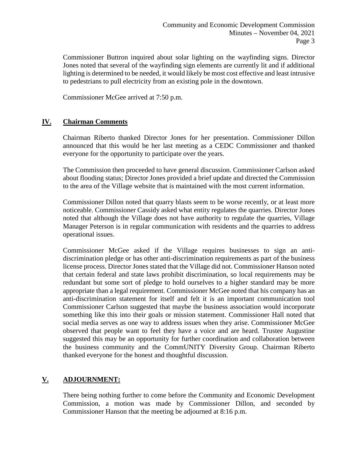Commissioner Buttron inquired about solar lighting on the wayfinding signs. Director Jones noted that several of the wayfinding sign elements are currently lit and if additional lighting is determined to be needed, it would likely be most cost effective and least intrusive to pedestrians to pull electricity from an existing pole in the downtown.

Commissioner McGee arrived at 7:50 p.m.

### **IV. Chairman Comments**

Chairman Riberto thanked Director Jones for her presentation. Commissioner Dillon announced that this would be her last meeting as a CEDC Commissioner and thanked everyone for the opportunity to participate over the years.

The Commission then proceeded to have general discussion. Commissioner Carlson asked about flooding status; Director Jones provided a brief update and directed the Commission to the area of the Village website that is maintained with the most current information.

Commissioner Dillon noted that quarry blasts seem to be worse recently, or at least more noticeable. Commissioner Cassidy asked what entity regulates the quarries. Director Jones noted that although the Village does not have authority to regulate the quarries, Village Manager Peterson is in regular communication with residents and the quarries to address operational issues.

Commissioner McGee asked if the Village requires businesses to sign an antidiscrimination pledge or has other anti-discrimination requirements as part of the business license process. Director Jones stated that the Village did not. Commissioner Hanson noted that certain federal and state laws prohibit discrimination, so local requirements may be redundant but some sort of pledge to hold ourselves to a higher standard may be more appropriate than a legal requirement. Commissioner McGee noted that his company has an anti-discrimination statement for itself and felt it is an important communication tool Commissioner Carlson suggested that maybe the business association would incorporate something like this into their goals or mission statement. Commissioner Hall noted that social media serves as one way to address issues when they arise. Commissioner McGee observed that people want to feel they have a voice and are heard. Trustee Augustine suggested this may be an opportunity for further coordination and collaboration between the business community and the CommUNITY Diversity Group. Chairman Riberto thanked everyone for the honest and thoughtful discussion.

## **V. ADJOURNMENT:**

There being nothing further to come before the Community and Economic Development Commission, a motion was made by Commissioner Dillon, and seconded by Commissioner Hanson that the meeting be adjourned at 8:16 p.m.